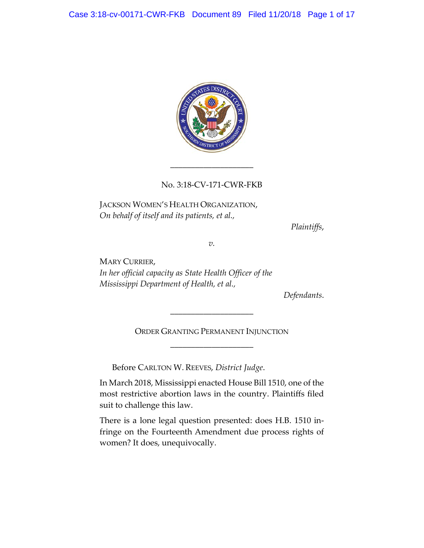

# No. 3:18-CV-171-CWR-FKB

\_\_\_\_\_\_\_\_\_\_\_\_\_\_\_\_\_\_\_\_

JACKSON WOMEN'S HEALTH ORGANIZATION, *On behalf of itself and its patients, et al.,*

*Plaintiffs*,

*v.*

MARY CURRIER, *In her official capacity as State Health Officer of the Mississippi Department of Health, et al.,*

*Defendants*.

ORDER GRANTING PERMANENT INJUNCTION \_\_\_\_\_\_\_\_\_\_\_\_\_\_\_\_\_\_\_\_

\_\_\_\_\_\_\_\_\_\_\_\_\_\_\_\_\_\_\_\_

Before CARLTON W. REEVES, *District Judge*.

In March 2018, Mississippi enacted House Bill 1510, one of the most restrictive abortion laws in the country. Plaintiffs filed suit to challenge this law.

There is a lone legal question presented: does H.B. 1510 infringe on the Fourteenth Amendment due process rights of women? It does, unequivocally.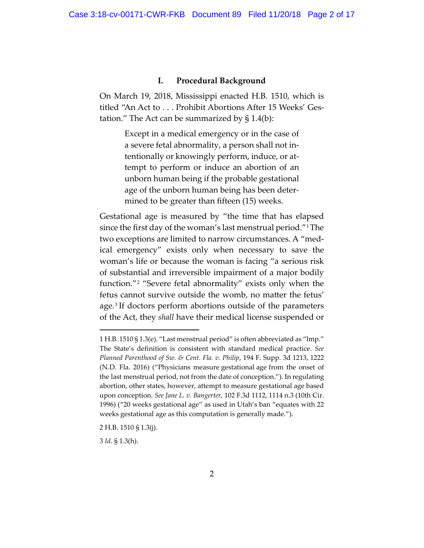#### **I. Procedural Background**

On March 19, 2018, Mississippi enacted H.B. 1510, which is titled "An Act to . . . Prohibit Abortions After 15 Weeks' Gestation." The Act can be summarized by  $\S 1.4(b)$ :

> Except in a medical emergency or in the case of a severe fetal abnormality, a person shall not intentionally or knowingly perform, induce, or attempt to perform or induce an abortion of an unborn human being if the probable gestational age of the unborn human being has been determined to be greater than fifteen (15) weeks.

Gestational age is measured by "the time that has elapsed since the first day of the woman's last menstrual period."1The two exceptions are limited to narrow circumstances. A "medical emergency" exists only when necessary to save the woman's life or because the woman is facing "a serious risk of substantial and irreversible impairment of a major bodily function."2 "Severe fetal abnormality" exists only when the fetus cannot survive outside the womb, no matter the fetus' age.3 If doctors perform abortions outside of the parameters of the Act, they *shall* have their medical license suspended or

<sup>1</sup> H.B. 1510 § 1.3(e). "Last menstrual period" is often abbreviated as "lmp." The State's definition is consistent with standard medical practice. *See Planned Parenthood of Sw. & Cent. Fla. v. Philip*, 194 F. Supp. 3d 1213, 1222 (N.D. Fla. 2016) ("Physicians measure gestational age from the onset of the last menstrual period, not from the date of conception."). In regulating abortion, other states, however, attempt to measure gestational age based upon conception. *See Jane L. v. Bangerter*, 102 F.3d 1112, 1114 n.3 (10th Cir. 1996) ("20 weeks gestational age" as used in Utah's ban "equates with 22 weeks gestational age as this computation is generally made.").

<sup>2</sup> H.B. 1510 § 1.3(j).

<sup>3</sup> *Id*. § 1.3(h).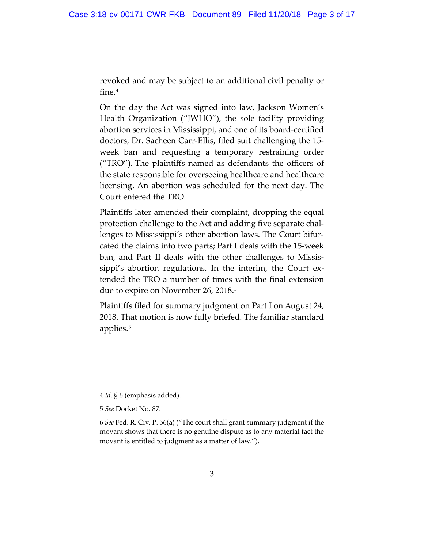revoked and may be subject to an additional civil penalty or fine.4

On the day the Act was signed into law, Jackson Women's Health Organization ("JWHO"), the sole facility providing abortion services in Mississippi, and one of its board-certified doctors, Dr. Sacheen Carr-Ellis, filed suit challenging the 15 week ban and requesting a temporary restraining order ("TRO"). The plaintiffs named as defendants the officers of the state responsible for overseeing healthcare and healthcare licensing. An abortion was scheduled for the next day. The Court entered the TRO.

Plaintiffs later amended their complaint, dropping the equal protection challenge to the Act and adding five separate challenges to Mississippi's other abortion laws. The Court bifurcated the claims into two parts; Part I deals with the 15-week ban, and Part II deals with the other challenges to Mississippi's abortion regulations. In the interim, the Court extended the TRO a number of times with the final extension due to expire on November 26, 2018. 5

Plaintiffs filed for summary judgment on Part I on August 24, 2018. That motion is now fully briefed. The familiar standard applies.<sup>6</sup>

<sup>4</sup> *Id*. § 6 (emphasis added).

<sup>5</sup> *See* Docket No. 87.

<sup>6</sup> *See* Fed. R. Civ. P. 56(a) ("The court shall grant summary judgment if the movant shows that there is no genuine dispute as to any material fact the movant is entitled to judgment as a matter of law.").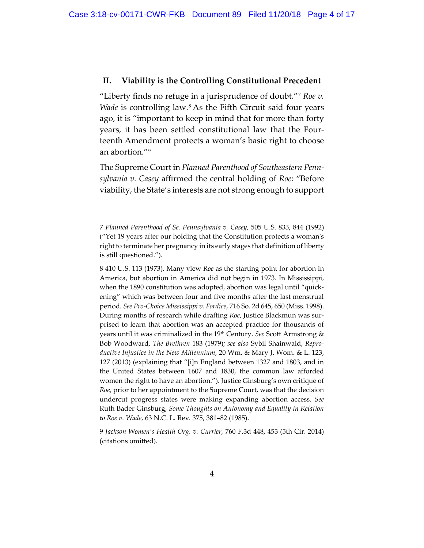### **II. Viability is the Controlling Constitutional Precedent**

"Liberty finds no refuge in a jurisprudence of doubt."7 *Roe v. Wade* is controlling law.8 As the Fifth Circuit said four years ago, it is "important to keep in mind that for more than forty years, it has been settled constitutional law that the Fourteenth Amendment protects a woman's basic right to choose an abortion."9

The Supreme Court in *Planned Parenthood of Southeastern Pennsylvania v. Casey* affirmed the central holding of *Roe*: "Before viability, the State's interests are not strong enough to support

 $\overline{a}$ 

9 *Jackson Women's Health Org. v. Currier*, 760 F.3d 448, 453 (5th Cir. 2014) (citations omitted).

<sup>7</sup> *Planned Parenthood of Se. Pennsylvania v. Casey,* 505 U.S. 833, 844 (1992) ("Yet 19 years after our holding that the Constitution protects a woman's right to terminate her pregnancy in its early stages that definition of liberty is still questioned.").

<sup>8</sup> 410 U.S. 113 (1973). Many view *Roe* as the starting point for abortion in America, but abortion in America did not begin in 1973. In Mississippi, when the 1890 constitution was adopted, abortion was legal until "quickening" which was between four and five months after the last menstrual period*. See Pro-Choice Mississippi v. Fordice*, 716 So. 2d 645, 650 (Miss. 1998). During months of research while drafting *Roe*, Justice Blackmun was surprised to learn that abortion was an accepted practice for thousands of years until it was criminalized in the 19th Century. *See* Scott Armstrong & Bob Woodward, *The Brethren* 183 (1979)*; see also* Sybil Shainwald, *Reproductive Injustice in the New Millennium*, 20 Wm. & Mary J. Wom. & L. 123, 127 (2013) (explaining that "[i]n England between 1327 and 1803, and in the United States between 1607 and 1830, the common law afforded women the right to have an abortion."). Justice Ginsburg's own critique of *Roe*, prior to her appointment to the Supreme Court, was that the decision undercut progress states were making expanding abortion access. *See* Ruth Bader Ginsburg, *Some Thoughts on Autonomy and Equality in Relation to Roe v. Wade*, 63 N.C. L. Rev. 375, 381–82 (1985).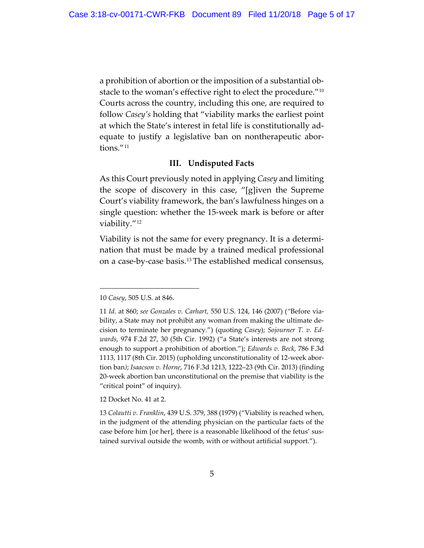a prohibition of abortion or the imposition of a substantial obstacle to the woman's effective right to elect the procedure."10 Courts across the country, including this one, are required to follow *Casey's* holding that "viability marks the earliest point at which the State's interest in fetal life is constitutionally adequate to justify a legislative ban on nontherapeutic abortions."11

## **III. Undisputed Facts**

As this Court previously noted in applying *Casey* and limiting the scope of discovery in this case, "[g]iven the Supreme Court's viability framework, the ban's lawfulness hinges on a single question: whether the 15-week mark is before or after viability."12

Viability is not the same for every pregnancy. It is a determination that must be made by a trained medical professional on a case-by-case basis.13 The established medical consensus,

 $\overline{a}$ 

12 Docket No. 41 at 2.

<sup>10</sup> *Casey*, 505 U.S. at 846.

<sup>11</sup> *Id.* at 860; *see Gonzales v. Carhart,* 550 U.S. 124, 146 (2007) (*"*Before viability, a State may not prohibit any woman from making the ultimate decision to terminate her pregnancy.") (quoting *Casey*); *Sojourner T. v. Edwards*, 974 F.2d 27, 30 (5th Cir. 1992) ("a State's interests are not strong enough to support a prohibition of abortion."); *Edwards v. Beck*, 786 F.3d 1113, 1117 (8th Cir. 2015) (upholding unconstitutionality of 12-week abortion ban*)*; *Isaacson v. Horne*, 716 F.3d 1213, 1222–23 (9th Cir. 2013) (finding 20-week abortion ban unconstitutional on the premise that viability is the "critical point" of inquiry).

<sup>13</sup> *Colautti v. Franklin*, 439 U.S. 379, 388 (1979) ("Viability is reached when, in the judgment of the attending physician on the particular facts of the case before him [or her], there is a reasonable likelihood of the fetus' sustained survival outside the womb, with or without artificial support.").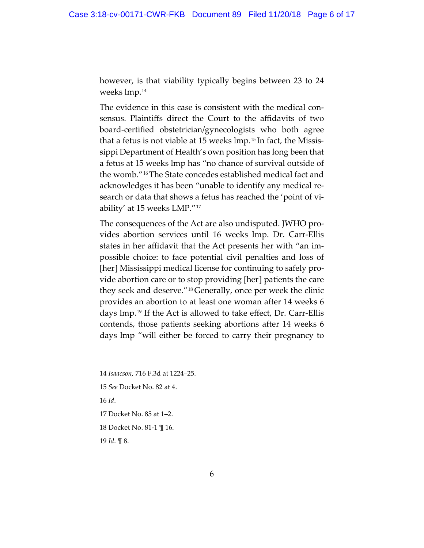however, is that viability typically begins between 23 to 24 weeks lmp.14

The evidence in this case is consistent with the medical consensus. Plaintiffs direct the Court to the affidavits of two board-certified obstetrician/gynecologists who both agree that a fetus is not viable at 15 weeks lmp. <sup>15</sup> In fact, the Mississippi Department of Health's own position has long been that a fetus at 15 weeks lmp has "no chance of survival outside of the womb."16The State concedes established medical fact and acknowledges it has been "unable to identify any medical research or data that shows a fetus has reached the 'point of viability' at 15 weeks LMP."17

The consequences of the Act are also undisputed. JWHO provides abortion services until 16 weeks lmp. Dr. Carr-Ellis states in her affidavit that the Act presents her with "an impossible choice: to face potential civil penalties and loss of [her] Mississippi medical license for continuing to safely provide abortion care or to stop providing [her] patients the care they seek and deserve."18 Generally, once per week the clinic provides an abortion to at least one woman after 14 weeks 6 days lmp.19 If the Act is allowed to take effect, Dr. Carr-Ellis contends, those patients seeking abortions after 14 weeks 6 days lmp "will either be forced to carry their pregnancy to

16 *Id*.

 $\overline{a}$ 

17 Docket No. 85 at 1–2.

18 Docket No. 81-1 ¶ 16.

19 *Id*. ¶ 8.

<sup>14</sup> *Isaacson*, 716 F.3d at 1224–25.

<sup>15</sup> *See* Docket No. 82 at 4.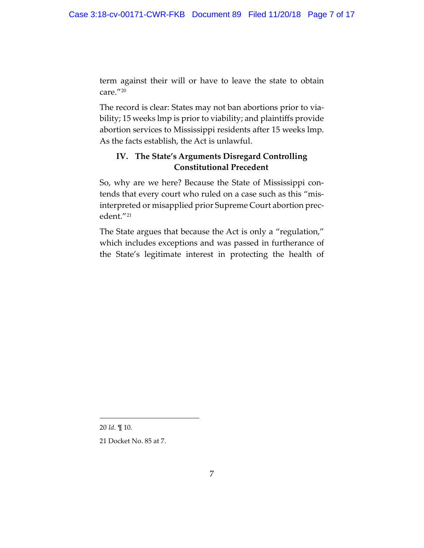term against their will or have to leave the state to obtain care."<sup>20</sup>

The record is clear: States may not ban abortions prior to viability; 15 weeks lmp is prior to viability; and plaintiffs provide abortion services to Mississippi residents after 15 weeks lmp. As the facts establish, the Act is unlawful.

# **IV. The State's Arguments Disregard Controlling Constitutional Precedent**

So, why are we here? Because the State of Mississippi contends that every court who ruled on a case such as this "misinterpreted or misapplied prior Supreme Court abortion precedent."21

The State argues that because the Act is only a "regulation," which includes exceptions and was passed in furtherance of the State's legitimate interest in protecting the health of

20 *Id*. ¶ 10.

 $\overline{a}$ 

21 Docket No. 85 at 7.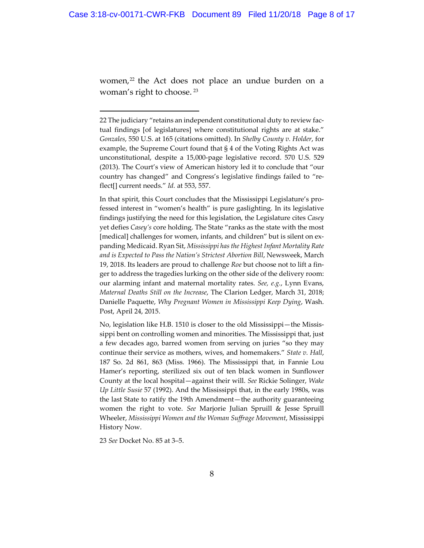women,<sup>22</sup> the Act does not place an undue burden on a woman's right to choose. <sup>23</sup>

In that spirit, this Court concludes that the Mississippi Legislature's professed interest in "women's health" is pure gaslighting. In its legislative findings justifying the need for this legislation, the Legislature cites *Casey* yet defies *Casey's* core holding. The State "ranks as the state with the most [medical] challenges for women, infants, and children" but is silent on expanding Medicaid. Ryan Sit, *Mississippi has the Highest Infant Mortality Rate and is Expected to Pass the Nation's Strictest Abortion Bill*, Newsweek, March 19, 2018. Its leaders are proud to challenge *Roe* but choose not to lift a finger to address the tragedies lurking on the other side of the delivery room: our alarming infant and maternal mortality rates. *See, e.g.*, Lynn Evans, *Maternal Deaths Still on the Increase*, The Clarion Ledger, March 31, 2018; Danielle Paquette, *Why Pregnant Women in Mississippi Keep Dying*, Wash. Post, April 24, 2015.

No, legislation like H.B. 1510 is closer to the old Mississippi—the Mississippi bent on controlling women and minorities. The Mississippi that, just a few decades ago, barred women from serving on juries "so they may continue their service as mothers, wives, and homemakers." *State v. Hall*, 187 So. 2d 861, 863 (Miss. 1966). The Mississippi that, in Fannie Lou Hamer's reporting, sterilized six out of ten black women in Sunflower County at the local hospital—against their will. *See* Rickie Solinger, *Wake Up Little Susie* 57 (1992). And the Mississippi that, in the early 1980s, was the last State to ratify the 19th Amendment—the authority guaranteeing women the right to vote. *See* Marjorie Julian Spruill & Jesse Spruill Wheeler, *Mississippi Women and the Woman Suffrage Movement*, Mississippi History Now.

23 *See* Docket No. 85 at 3–5.

<sup>22</sup> The judiciary "retains an independent constitutional duty to review factual findings [of legislatures] where constitutional rights are at stake." *Gonzales*, 550 U.S. at 165 (citations omitted). In *Shelby County v. Holder*, for example, the Supreme Court found that § 4 of the Voting Rights Act was unconstitutional, despite a 15,000-page legislative record. 570 U.S. 529 (2013). The Court's view of American history led it to conclude that "our country has changed" and Congress's legislative findings failed to "reflect[] current needs." *Id.* at 553, 557.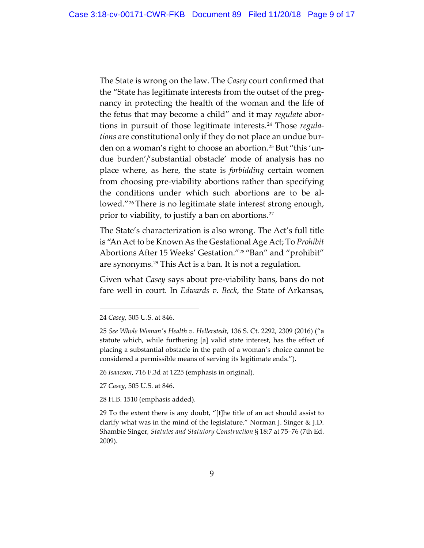The State is wrong on the law. The *Casey* court confirmed that the "State has legitimate interests from the outset of the pregnancy in protecting the health of the woman and the life of the fetus that may become a child" and it may *regulate* abortions in pursuit of those legitimate interests.24 Those *regulations* are constitutional only if they do not place an undue burden on a woman's right to choose an abortion.<sup>25</sup> But "this 'undue burden'/'substantial obstacle' mode of analysis has no place where, as here, the state is *forbidding* certain women from choosing pre-viability abortions rather than specifying the conditions under which such abortions are to be allowed."<sup>26</sup> There is no legitimate state interest strong enough, prior to viability, to justify a ban on abortions.<sup>27</sup>

The State's characterization is also wrong. The Act's full title is "An Act to be Known As the Gestational Age Act; To *Prohibit* Abortions After 15 Weeks' Gestation."28 "Ban" and "prohibit" are synonyms.<sup>29</sup> This Act is a ban. It is not a regulation.

Given what *Casey* says about pre-viability bans, bans do not fare well in court. In *Edwards v. Beck*, the State of Arkansas,

 $\overline{a}$ 

26 *Isaacson*, 716 F.3d at 1225 (emphasis in original).

27 *Casey*, 505 U.S. at 846.

28 H.B. 1510 (emphasis added).

29 To the extent there is any doubt, "[t]he title of an act should assist to clarify what was in the mind of the legislature." Norman J. Singer & J.D. Shambie Singer*, Statutes and Statutory Construction* § 18:7 at 75–76 (7th Ed. 2009).

<sup>24</sup> *Casey*, 505 U.S. at 846.

<sup>25</sup> *See Whole Woman's Health v. Hellerstedt*, 136 S. Ct. 2292, 2309 (2016) ("a statute which, while furthering [a] valid state interest, has the effect of placing a substantial obstacle in the path of a woman's choice cannot be considered a permissible means of serving its legitimate ends.").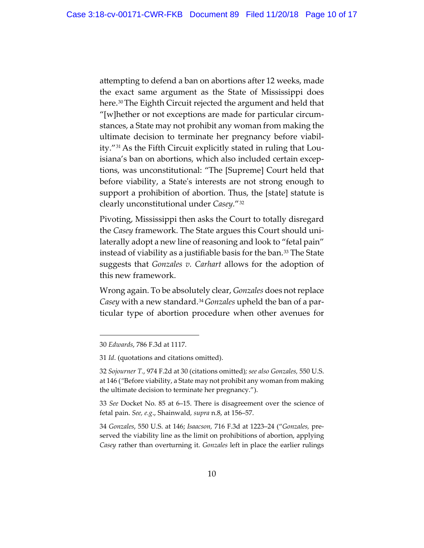attempting to defend a ban on abortions after 12 weeks, made the exact same argument as the State of Mississippi does here. 30The Eighth Circuit rejected the argument and held that "[w]hether or not exceptions are made for particular circumstances, a State may not prohibit any woman from making the ultimate decision to terminate her pregnancy before viability."31 As the Fifth Circuit explicitly stated in ruling that Louisiana's ban on abortions, which also included certain exceptions, was unconstitutional: "The [Supreme] Court held that before viability, a State's interests are not strong enough to support a prohibition of abortion. Thus, the [state] statute is clearly unconstitutional under *Casey.*"32

Pivoting, Mississippi then asks the Court to totally disregard the *Casey* framework. The State argues this Court should unilaterally adopt a new line of reasoning and look to "fetal pain" instead of viability as a justifiable basis for the ban.<sup>33</sup> The State suggests that *Gonzales v. Carhart* allows for the adoption of this new framework.

Wrong again. To be absolutely clear, *Gonzales* does notreplace *Casey* with a new standard.34*Gonzales* upheld the ban of a particular type of abortion procedure when other avenues for

 $\overline{a}$ 

33 *See* Docket No. 85 at 6–15. There is disagreement over the science of fetal pain. *See, e.g*., Shainwald*, supra* n.8, at 156–57.

34 *Gonzales*, 550 U.S. at 146; *Isaacson,* 716 F.3d at 1223–24 ("*Gonzales,* preserved the viability line as the limit on prohibitions of abortion, applying *Casey* rather than overturning it. *Gonzales* left in place the earlier rulings

<sup>30</sup> *Edwards*, 786 F.3d at 1117.

<sup>31</sup> *Id*. (quotations and citations omitted).

<sup>32</sup> *Sojourner T.*, 974 F.2d at 30 (citations omitted)*; see also Gonzales,* 550 U.S. at 146 (*"*Before viability, a State may not prohibit any woman from making the ultimate decision to terminate her pregnancy.").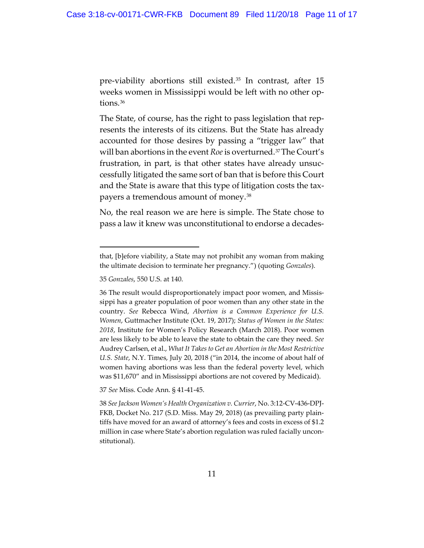pre-viability abortions still existed.<sup>35</sup> In contrast, after 15 weeks women in Mississippi would be left with no other options.<sup>36</sup>

The State, of course, has the right to pass legislation that represents the interests of its citizens. But the State has already accounted for those desires by passing a "trigger law" that will ban abortions in the event *Roe* is overturned.<sup>37</sup>The Court's frustration, in part, is that other states have already unsuccessfully litigated the same sort of ban that is before this Court and the State is aware that this type of litigation costs the taxpayers a tremendous amount of money.38

No, the real reason we are here is simple. The State chose to pass a law it knew was unconstitutional to endorse a decades-

35 *Gonzales*, 550 U.S. at 140.

 $\overline{a}$ 

37 *See* Miss. Code Ann. § 41-41-45.

38 *SeeJackson Women's Health Organization v. Currier*, No. 3:12-CV-436-DPJ-FKB, Docket No. 217 (S.D. Miss. May 29, 2018) (as prevailing party plaintiffs have moved for an award of attorney's fees and costs in excess of \$1.2 million in case where State's abortion regulation was ruled facially unconstitutional).

that, [b]efore viability, a State may not prohibit any woman from making the ultimate decision to terminate her pregnancy.") (quoting *Gonzales*).

<sup>36</sup> The result would disproportionately impact poor women, and Mississippi has a greater population of poor women than any other state in the country. *See* Rebecca Wind, *Abortion is a Common Experience for U.S. Women*, Guttmacher Institute (Oct. 19, 2017); *Status of Women in the States: 2018*, Institute for Women's Policy Research (March 2018). Poor women are less likely to be able to leave the state to obtain the care they need. *See* Audrey Carlsen, et al., *What It Takes to Get an Abortion in the Most Restrictive U.S. State*, N.Y. Times, July 20, 2018 ("in 2014, the income of about half of women having abortions was less than the federal poverty level, which was \$11,670" and in Mississippi abortions are not covered by Medicaid).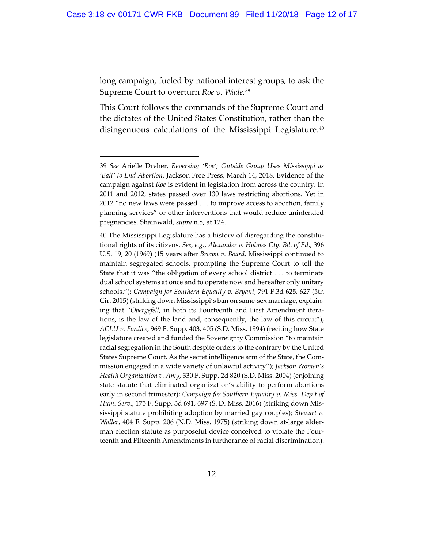long campaign, fueled by national interest groups, to ask the Supreme Court to overturn *Roe v. Wade.*<sup>39</sup>

This Court follows the commands of the Supreme Court and the dictates of the United States Constitution, rather than the disingenuous calculations of the Mississippi Legislature.<sup>40</sup>

<sup>39</sup> *See* Arielle Dreher, *Reversing 'Roe'; Outside Group Uses Mississippi as 'Bait' to End Abortion*, Jackson Free Press, March 14, 2018. Evidence of the campaign against *Roe* is evident in legislation from across the country. In 2011 and 2012, states passed over 130 laws restricting abortions. Yet in 2012 "no new laws were passed . . . to improve access to abortion, family planning services" or other interventions that would reduce unintended pregnancies. Shainwald, *supra* n.8, at 124.

<sup>40</sup> The Mississippi Legislature has a history of disregarding the constitutional rights of its citizens. *See, e.g*., *Alexander v. Holmes Cty. Bd. of Ed*., 396 U.S. 19, 20 (1969) (15 years after *Brown v. Board*, Mississippi continued to maintain segregated schools, prompting the Supreme Court to tell the State that it was "the obligation of every school district . . . to terminate dual school systems at once and to operate now and hereafter only unitary schools."); *Campaign for Southern Equality v. Bryant*, 791 F.3d 625, 627 (5th Cir. 2015) (striking down Mississippi's ban on same-sex marriage, explaining that "*Obergefell*, in both its Fourteenth and First Amendment iterations, is the law of the land and, consequently, the law of this circuit"); *ACLU v. Fordice*, 969 F. Supp. 403, 405 (S.D. Miss. 1994) (reciting how State legislature created and funded the Sovereignty Commission "to maintain racial segregation in the South despite orders to the contrary by the United States Supreme Court. As the secret intelligence arm of the State, the Commission engaged in a wide variety of unlawful activity"); *Jackson Women's Health Organization v. Amy*, 330 F. Supp. 2d 820 (S.D. Miss. 2004) (enjoining state statute that eliminated organization's ability to perform abortions early in second trimester); *Campaign for Southern Equality v. Miss. Dep't of Hum. Serv*., 175 F. Supp. 3d 691, 697 (S. D. Miss. 2016) (striking down Mississippi statute prohibiting adoption by married gay couples); *Stewart v. Waller*, 404 F. Supp. 206 (N.D. Miss. 1975) (striking down at-large alderman election statute as purposeful device conceived to violate the Fourteenth and Fifteenth Amendments in furtherance of racial discrimination).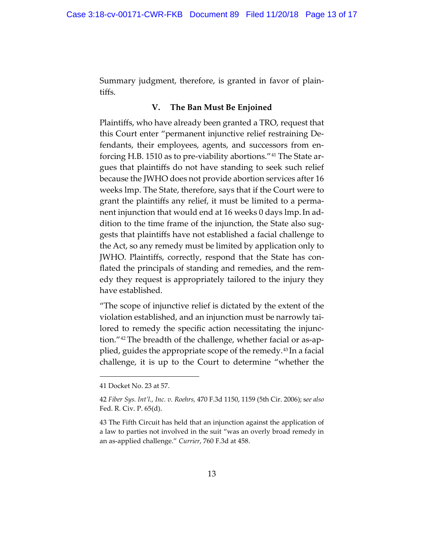Summary judgment, therefore, is granted in favor of plaintiffs.

# **V. The Ban Must Be Enjoined**

Plaintiffs, who have already been granted a TRO, request that this Court enter "permanent injunctive relief restraining Defendants, their employees, agents, and successors from enforcing H.B. 1510 as to pre-viability abortions."41 The State argues that plaintiffs do not have standing to seek such relief because the JWHO does not provide abortion services after 16 weeks lmp. The State, therefore, says that if the Court were to grant the plaintiffs any relief, it must be limited to a permanent injunction that would end at 16 weeks 0 days lmp.In addition to the time frame of the injunction, the State also suggests that plaintiffs have not established a facial challenge to the Act, so any remedy must be limited by application only to JWHO. Plaintiffs, correctly, respond that the State has conflated the principals of standing and remedies, and the remedy they request is appropriately tailored to the injury they have established.

"The scope of injunctive relief is dictated by the extent of the violation established, and an injunction must be narrowly tailored to remedy the specific action necessitating the injunction."42 The breadth of the challenge, whether facial or as-applied, guides the appropriate scope of the remedy. <sup>43</sup> In a facial challenge, it is up to the Court to determine "whether the

<sup>41</sup> Docket No. 23 at 57.

<sup>42</sup> *Fiber Sys. Int'l., Inc. v. Roehrs,* 470 F.3d 1150, 1159 (5th Cir. 2006); s*ee also* Fed. R. Civ. P. 65(d).

<sup>43</sup> The Fifth Circuit has held that an injunction against the application of a law to parties not involved in the suit "was an overly broad remedy in an as-applied challenge." *Currier*, 760 F.3d at 458.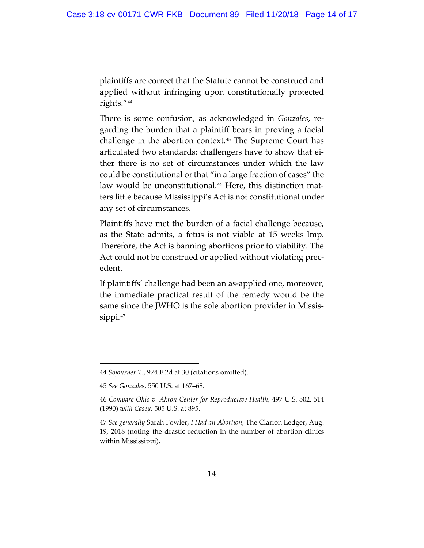plaintiffs are correct that the Statute cannot be construed and applied without infringing upon constitutionally protected rights."44

There is some confusion, as acknowledged in *Gonzales*, regarding the burden that a plaintiff bears in proving a facial challenge in the abortion context.45 The Supreme Court has articulated two standards: challengers have to show that either there is no set of circumstances under which the law could be constitutional or that "in a large fraction of cases" the law would be unconstitutional.<sup>46</sup> Here, this distinction matters little because Mississippi's Act is not constitutional under any set of circumstances.

Plaintiffs have met the burden of a facial challenge because, as the State admits, a fetus is not viable at 15 weeks lmp. Therefore, the Act is banning abortions prior to viability. The Act could not be construed or applied without violating precedent.

If plaintiffs' challenge had been an as-applied one, moreover, the immediate practical result of the remedy would be the same since the JWHO is the sole abortion provider in Mississippi.<sup>47</sup>

<sup>44</sup> *Sojourner T.*, 974 F.2d at 30 (citations omitted).

<sup>45</sup> *See Gonzales*, 550 U.S. at 167–68.

<sup>46</sup> *Compare Ohio v. Akron Center for Reproductive Health,* 497 U.S. 502, 514 (1990) *with Casey,* 505 U.S. at 895.

<sup>47</sup> *See generally* Sarah Fowler, *I Had an Abortion*, The Clarion Ledger, Aug. 19, 2018 (noting the drastic reduction in the number of abortion clinics within Mississippi).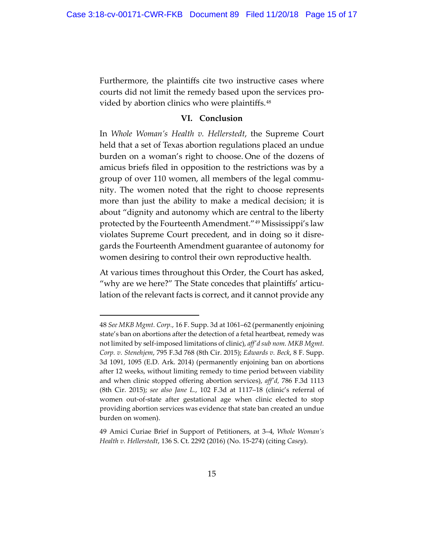Furthermore, the plaintiffs cite two instructive cases where courts did not limit the remedy based upon the services provided by abortion clinics who were plaintiffs.<sup>48</sup>

### **VI. Conclusion**

In *Whole Woman's Health v. Hellerstedt*, the Supreme Court held that a set of Texas abortion regulations placed an undue burden on a woman's right to choose. One of the dozens of amicus briefs filed in opposition to the restrictions was by a group of over 110 women, all members of the legal community. The women noted that the right to choose represents more than just the ability to make a medical decision; it is about "dignity and autonomy which are central to the liberty protected by the Fourteenth Amendment."49 Mississippi's law violates Supreme Court precedent, and in doing so it disregards the Fourteenth Amendment guarantee of autonomy for women desiring to control their own reproductive health.

At various times throughout this Order, the Court has asked, "why are we here?" The State concedes that plaintiffs' articulation of the relevant facts is correct, and it cannot provide any

<sup>48</sup> *See MKB Mgmt. Corp.*, 16 F. Supp. 3d at 1061–62 (permanently enjoining state's ban on abortions after the detection of a fetal heartbeat, remedy was not limited by self-imposed limitations of clinic), *aff'd sub nom. MKB Mgmt. Corp. v. Stenehjem*, 795 F.3d 768 (8th Cir. 2015); *Edwards v. Beck*, 8 F. Supp. 3d 1091, 1095 (E.D. Ark. 2014) (permanently enjoining ban on abortions after 12 weeks, without limiting remedy to time period between viability and when clinic stopped offering abortion services), *aff'd,* 786 F.3d 1113 (8th Cir. 2015); *see also Jane L.*, 102 F.3d at 1117–18 (clinic's referral of women out-of-state after gestational age when clinic elected to stop providing abortion services was evidence that state ban created an undue burden on women).

<sup>49</sup> Amici Curiae Brief in Support of Petitioners, at 3–4, *Whole Woman's Health v. Hellerstedt*, 136 S. Ct. 2292 (2016) (No. 15-274) (citing *Casey*).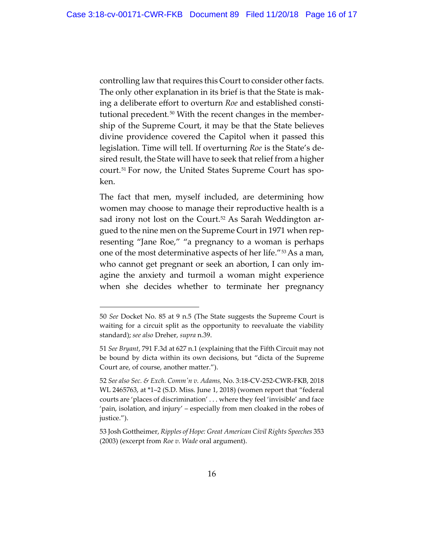controlling law that requires this Court to consider other facts. The only other explanation in its brief is that the State is making a deliberate effort to overturn *Roe* and established constitutional precedent*.*<sup>50</sup> With the recent changes in the membership of the Supreme Court, it may be that the State believes divine providence covered the Capitol when it passed this legislation. Time will tell. If overturning *Roe* is the State's desired result, the State will have to seek that relief from a higher court.51 For now, the United States Supreme Court has spoken.

The fact that men, myself included, are determining how women may choose to manage their reproductive health is a sad irony not lost on the Court.<sup>52</sup> As Sarah Weddington argued to the nine men on the Supreme Court in 1971 when representing "Jane Roe," "a pregnancy to a woman is perhaps one of the most determinative aspects of her life."53As a man, who cannot get pregnant or seek an abortion, I can only imagine the anxiety and turmoil a woman might experience when she decides whether to terminate her pregnancy

<sup>50</sup> *See* Docket No. 85 at 9 n.5 (The State suggests the Supreme Court is waiting for a circuit split as the opportunity to reevaluate the viability standard); *see also* Dreher, *supra* n.39.

<sup>51</sup> *See Bryant*, 791 F.3d at 627 n.1 (explaining that the Fifth Circuit may not be bound by dicta within its own decisions, but "dicta of the Supreme Court are, of course, another matter.").

<sup>52</sup> *See also Sec. & Exch. Comm'n v. Adams,* No. 3:18-CV-252-CWR-FKB, 2018 WL 2465763, at \*1–2 (S.D. Miss. June 1, 2018) (women report that "federal courts are 'places of discrimination' . . . where they feel 'invisible' and face 'pain, isolation, and injury' – especially from men cloaked in the robes of justice.").

<sup>53</sup> Josh Gottheimer, *Ripples of Hope: Great American Civil Rights Speeches* 353 (2003) (excerpt from *Roe v. Wade* oral argument).